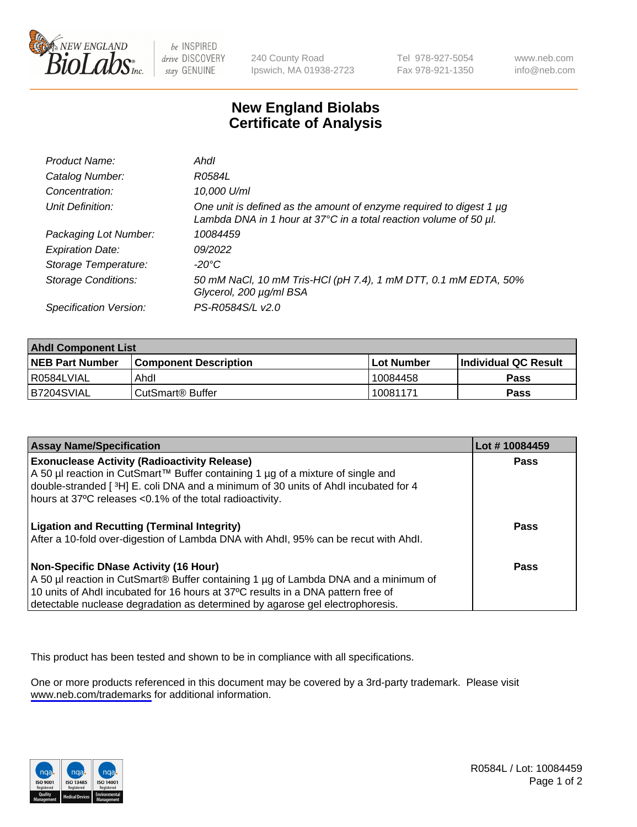

be INSPIRED drive DISCOVERY stay GENUINE

240 County Road Ipswich, MA 01938-2723 Tel 978-927-5054 Fax 978-921-1350

www.neb.com info@neb.com

## **New England Biolabs Certificate of Analysis**

| Product Name:              | Ahdl                                                                                                                                                    |
|----------------------------|---------------------------------------------------------------------------------------------------------------------------------------------------------|
| Catalog Number:            | R0584L                                                                                                                                                  |
| Concentration:             | 10,000 U/ml                                                                                                                                             |
| Unit Definition:           | One unit is defined as the amount of enzyme required to digest 1 µg<br>Lambda DNA in 1 hour at $37^{\circ}$ C in a total reaction volume of 50 $\mu$ l. |
| Packaging Lot Number:      | 10084459                                                                                                                                                |
| <b>Expiration Date:</b>    | 09/2022                                                                                                                                                 |
| Storage Temperature:       | -20°C                                                                                                                                                   |
| <b>Storage Conditions:</b> | 50 mM NaCl, 10 mM Tris-HCl (pH 7.4), 1 mM DTT, 0.1 mM EDTA, 50%<br>Glycerol, 200 µg/ml BSA                                                              |
| Specification Version:     | PS-R0584S/L v2.0                                                                                                                                        |

| <b>Ahdl Component List</b> |                              |              |                             |  |
|----------------------------|------------------------------|--------------|-----------------------------|--|
| <b>NEB Part Number</b>     | <b>Component Description</b> | l Lot Number | <b>Individual QC Result</b> |  |
| I R0584LVIAL               | Ahdl                         | 10084458     | Pass                        |  |
| B7204SVIAL                 | l CutSmart® Buffer           | 10081171     | Pass                        |  |

| <b>Assay Name/Specification</b>                                                                                                                                                                                                                                                                   | Lot #10084459 |
|---------------------------------------------------------------------------------------------------------------------------------------------------------------------------------------------------------------------------------------------------------------------------------------------------|---------------|
| <b>Exonuclease Activity (Radioactivity Release)</b><br>A 50 µl reaction in CutSmart™ Buffer containing 1 µg of a mixture of single and<br>double-stranded [3H] E. coli DNA and a minimum of 30 units of Ahdl incubated for 4<br>hours at 37°C releases <0.1% of the total radioactivity.          | <b>Pass</b>   |
| <b>Ligation and Recutting (Terminal Integrity)</b><br>After a 10-fold over-digestion of Lambda DNA with Ahdl, 95% can be recut with Ahdl.                                                                                                                                                         | Pass          |
| Non-Specific DNase Activity (16 Hour)<br>A 50 µl reaction in CutSmart® Buffer containing 1 µg of Lambda DNA and a minimum of<br>10 units of Ahdl incubated for 16 hours at 37°C results in a DNA pattern free of<br>detectable nuclease degradation as determined by agarose gel electrophoresis. | Pass          |

This product has been tested and shown to be in compliance with all specifications.

One or more products referenced in this document may be covered by a 3rd-party trademark. Please visit <www.neb.com/trademarks>for additional information.